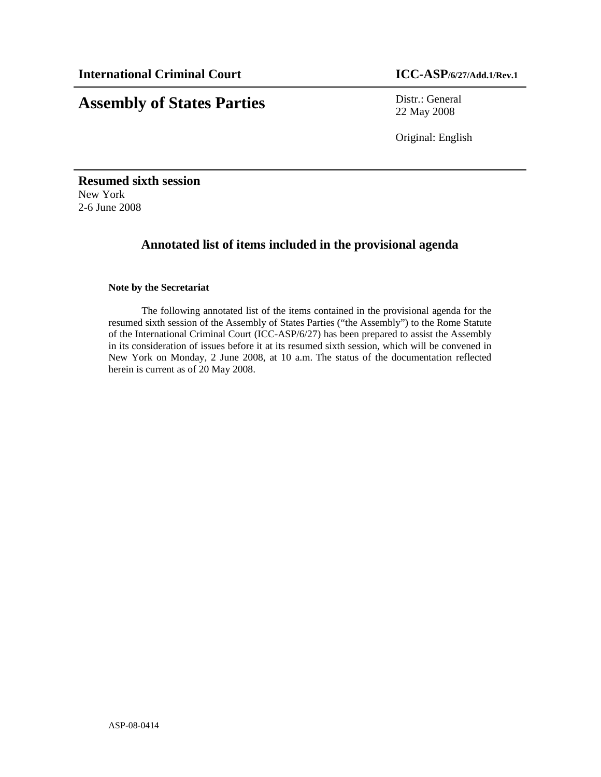# **Assembly of States Parties** Distr.: General

22 May 2008

Original: English

**Resumed sixth session**  New York 2-6 June 2008

# **Annotated list of items included in the provisional agenda**

### **Note by the Secretariat**

 The following annotated list of the items contained in the provisional agenda for the resumed sixth session of the Assembly of States Parties ("the Assembly") to the Rome Statute of the International Criminal Court (ICC-ASP/6/27) has been prepared to assist the Assembly in its consideration of issues before it at its resumed sixth session, which will be convened in New York on Monday, 2 June 2008, at 10 a.m. The status of the documentation reflected herein is current as of 20 May 2008.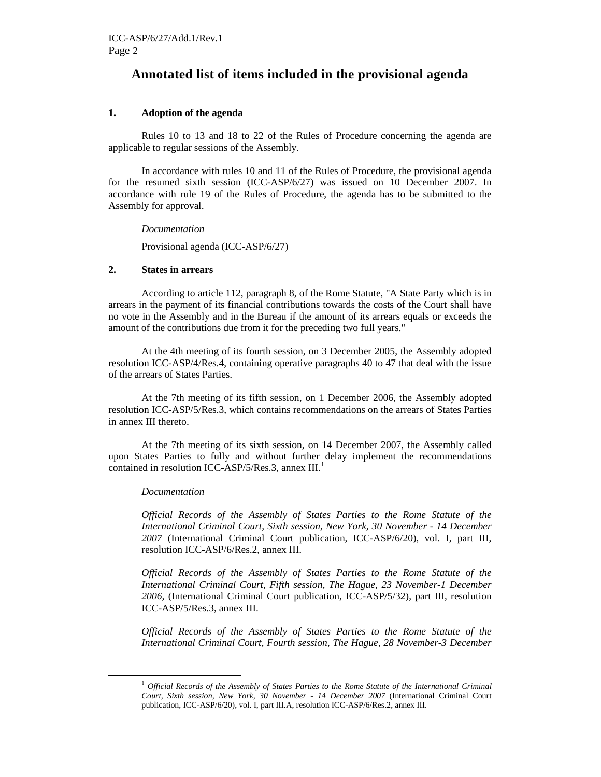# **Annotated list of items included in the provisional agenda**

#### **1. Adoption of the agenda**

Rules 10 to 13 and 18 to 22 of the Rules of Procedure concerning the agenda are applicable to regular sessions of the Assembly.

In accordance with rules 10 and 11 of the Rules of Procedure, the provisional agenda for the resumed sixth session (ICC-ASP/6/27) was issued on 10 December 2007. In accordance with rule 19 of the Rules of Procedure, the agenda has to be submitted to the Assembly for approval.

*Documentation* 

Provisional agenda (ICC-ASP/6/27)

#### **2. States in arrears**

 According to article 112, paragraph 8, of the Rome Statute, "A State Party which is in arrears in the payment of its financial contributions towards the costs of the Court shall have no vote in the Assembly and in the Bureau if the amount of its arrears equals or exceeds the amount of the contributions due from it for the preceding two full years."

 At the 4th meeting of its fourth session, on 3 December 2005, the Assembly adopted resolution ICC-ASP/4/Res.4, containing operative paragraphs 40 to 47 that deal with the issue of the arrears of States Parties.

 At the 7th meeting of its fifth session, on 1 December 2006, the Assembly adopted resolution ICC-ASP/5/Res.3, which contains recommendations on the arrears of States Parties in annex III thereto.

At the 7th meeting of its sixth session, on 14 December 2007, the Assembly called upon States Parties to fully and without further delay implement the recommendations contained in resolution ICC-ASP/5/Res.3, annex  $III$ .<sup>1</sup>

#### *Documentation*

-

*Official Records of the Assembly of States Parties to the Rome Statute of the International Criminal Court, Sixth session, New York, 30 November - 14 December 2007* (International Criminal Court publication, ICC-ASP/6/20), vol. I, part III, resolution ICC-ASP/6/Res.2, annex III.

*Official Records of the Assembly of States Parties to the Rome Statute of the International Criminal Court, Fifth session, The Hague, 23 November-1 December 2006,* (International Criminal Court publication, ICC-ASP/5/32), part III, resolution ICC-ASP/5/Res.3, annex III.

*Official Records of the Assembly of States Parties to the Rome Statute of the International Criminal Court, Fourth session, The Hague, 28 November-3 December* 

<sup>1</sup> *Official Records of the Assembly of States Parties to the Rome Statute of the International Criminal Court, Sixth session, New York, 30 November - 14 December 2007* (International Criminal Court publication, ICC-ASP/6/20), vol. I, part III.A, resolution ICC-ASP/6/Res.2, annex III.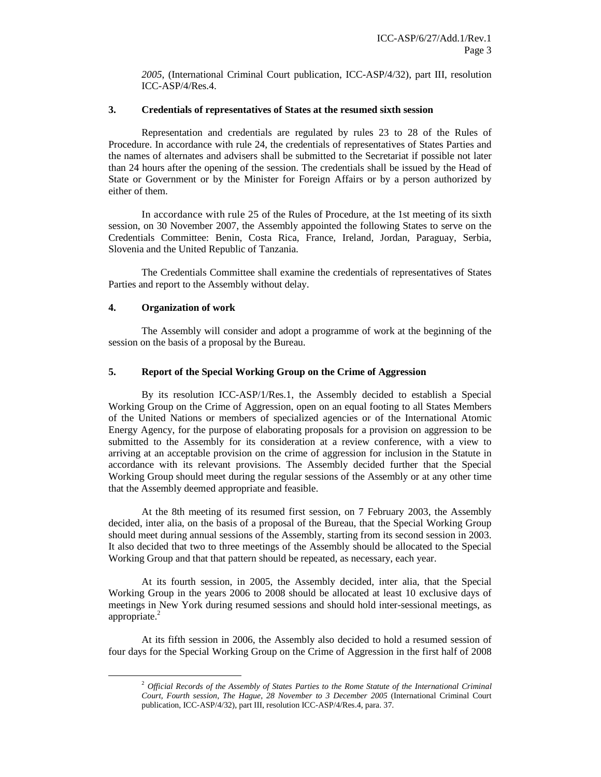*2005*, (International Criminal Court publication, ICC-ASP/4/32), part III, resolution ICC-ASP/4/Res.4.

#### **3. Credentials of representatives of States at the resumed sixth session**

Representation and credentials are regulated by rules 23 to 28 of the Rules of Procedure. In accordance with rule 24, the credentials of representatives of States Parties and the names of alternates and advisers shall be submitted to the Secretariat if possible not later than 24 hours after the opening of the session. The credentials shall be issued by the Head of State or Government or by the Minister for Foreign Affairs or by a person authorized by either of them.

In accordance with rule 25 of the Rules of Procedure, at the 1st meeting of its sixth session, on 30 November 2007, the Assembly appointed the following States to serve on the Credentials Committee: Benin, Costa Rica, France, Ireland, Jordan, Paraguay, Serbia, Slovenia and the United Republic of Tanzania.

The Credentials Committee shall examine the credentials of representatives of States Parties and report to the Assembly without delay.

#### **4. Organization of work**

-

The Assembly will consider and adopt a programme of work at the beginning of the session on the basis of a proposal by the Bureau.

### **5. Report of the Special Working Group on the Crime of Aggression**

By its resolution ICC-ASP/1/Res.1, the Assembly decided to establish a Special Working Group on the Crime of Aggression, open on an equal footing to all States Members of the United Nations or members of specialized agencies or of the International Atomic Energy Agency, for the purpose of elaborating proposals for a provision on aggression to be submitted to the Assembly for its consideration at a review conference, with a view to arriving at an acceptable provision on the crime of aggression for inclusion in the Statute in accordance with its relevant provisions. The Assembly decided further that the Special Working Group should meet during the regular sessions of the Assembly or at any other time that the Assembly deemed appropriate and feasible.

At the 8th meeting of its resumed first session, on 7 February 2003, the Assembly decided, inter alia, on the basis of a proposal of the Bureau, that the Special Working Group should meet during annual sessions of the Assembly, starting from its second session in 2003. It also decided that two to three meetings of the Assembly should be allocated to the Special Working Group and that that pattern should be repeated, as necessary, each year.

At its fourth session, in 2005, the Assembly decided, inter alia, that the Special Working Group in the years 2006 to 2008 should be allocated at least 10 exclusive days of meetings in New York during resumed sessions and should hold inter-sessional meetings, as appropriate.<sup>2</sup>

At its fifth session in 2006, the Assembly also decided to hold a resumed session of four days for the Special Working Group on the Crime of Aggression in the first half of 2008

<sup>2</sup> *Official Records of the Assembly of States Parties to the Rome Statute of the International Criminal Court, Fourth session, The Hague, 28 November to 3 December 2005* (International Criminal Court publication, ICC-ASP/4/32), part III, resolution ICC-ASP/4/Res.4, para. 37.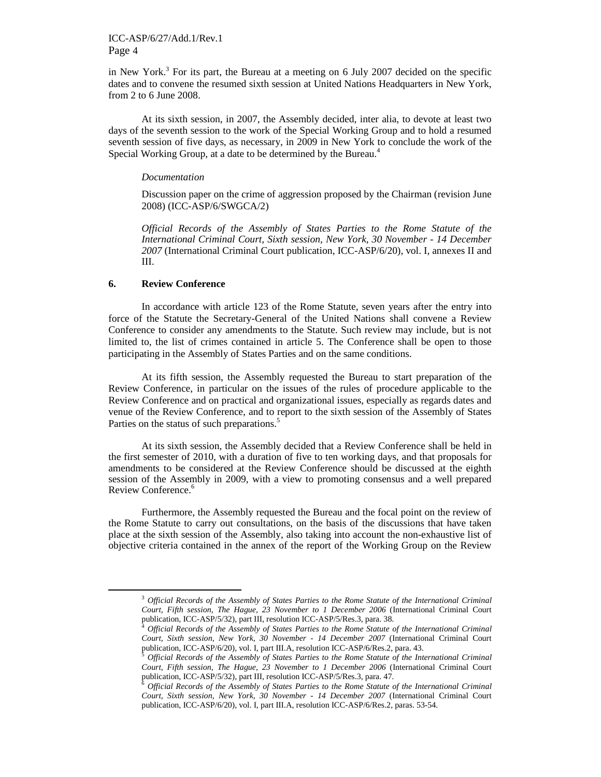in New York.<sup>3</sup> For its part, the Bureau at a meeting on 6 July 2007 decided on the specific dates and to convene the resumed sixth session at United Nations Headquarters in New York, from 2 to 6 June 2008.

At its sixth session, in 2007, the Assembly decided, inter alia, to devote at least two days of the seventh session to the work of the Special Working Group and to hold a resumed seventh session of five days, as necessary, in 2009 in New York to conclude the work of the Special Working Group, at a date to be determined by the Bureau.<sup>4</sup>

#### *Documentation*

 Discussion paper on the crime of aggression proposed by the Chairman (revision June 2008) (ICC-ASP/6/SWGCA/2)

*Official Records of the Assembly of States Parties to the Rome Statute of the International Criminal Court, Sixth session, New York, 30 November - 14 December 2007* (International Criminal Court publication, ICC-ASP/6/20), vol. I, annexes II and III.

#### **6. Review Conference**

-

In accordance with article 123 of the Rome Statute, seven years after the entry into force of the Statute the Secretary-General of the United Nations shall convene a Review Conference to consider any amendments to the Statute. Such review may include, but is not limited to, the list of crimes contained in article 5. The Conference shall be open to those participating in the Assembly of States Parties and on the same conditions.

 At its fifth session, the Assembly requested the Bureau to start preparation of the Review Conference, in particular on the issues of the rules of procedure applicable to the Review Conference and on practical and organizational issues, especially as regards dates and venue of the Review Conference, and to report to the sixth session of the Assembly of States Parties on the status of such preparations.<sup>5</sup>

At its sixth session, the Assembly decided that a Review Conference shall be held in the first semester of 2010, with a duration of five to ten working days, and that proposals for amendments to be considered at the Review Conference should be discussed at the eighth session of the Assembly in 2009, with a view to promoting consensus and a well prepared Review Conference.<sup>6</sup>

Furthermore, the Assembly requested the Bureau and the focal point on the review of the Rome Statute to carry out consultations, on the basis of the discussions that have taken place at the sixth session of the Assembly, also taking into account the non-exhaustive list of objective criteria contained in the annex of the report of the Working Group on the Review

<sup>3</sup> *Official Records of the Assembly of States Parties to the Rome Statute of the International Criminal Court, Fifth session, The Hague, 23 November to 1 December 2006* (International Criminal Court publication, ICC-ASP/5/32), part III, resolution ICC-ASP/5/Res.3, para. 38.

<sup>4</sup> *Official Records of the Assembly of States Parties to the Rome Statute of the International Criminal Court, Sixth session, New York, 30 November - 14 December 2007* (International Criminal Court publication, ICC-ASP/6/20), vol. I, part III.A, resolution ICC-ASP/6/Res.2, para. 43.

<sup>5</sup> *Official Records of the Assembly of States Parties to the Rome Statute of the International Criminal Court, Fifth session, The Hague, 23 November to 1 December 2006* (International Criminal Court publication, ICC-ASP/5/32), part III, resolution ICC-ASP/5/Res.3, para. 47.

<sup>6</sup> *Official Records of the Assembly of States Parties to the Rome Statute of the International Criminal Court, Sixth session, New York, 30 November - 14 December 2007* (International Criminal Court publication, ICC-ASP/6/20), vol. I, part III.A, resolution ICC-ASP/6/Res.2, paras. 53-54.